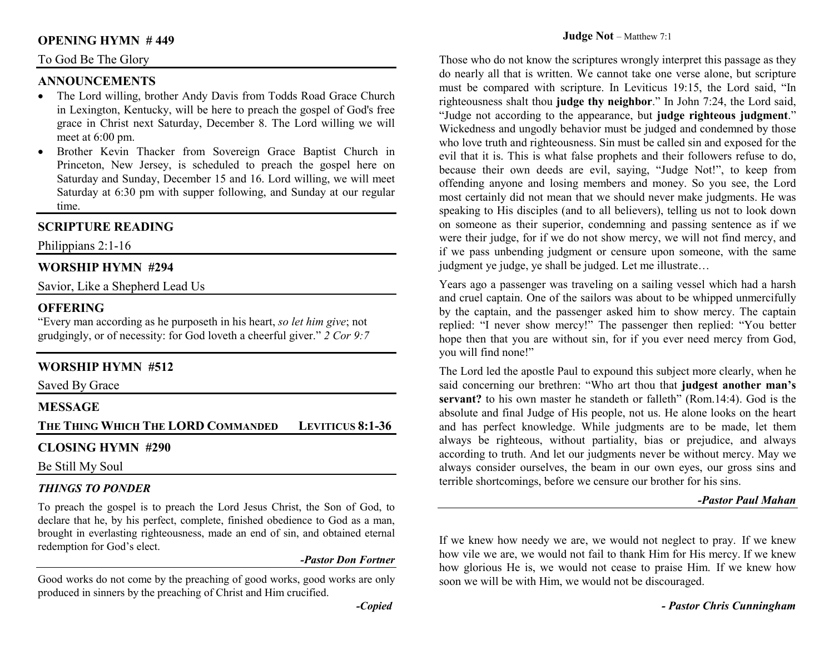#### **OPENING HYMN # 449**

#### To God Be The Glory

## **ANNOUNCEMENTS**

- The Lord willing, brother Andy Davis from Todds Road Grace Church •in Lexington, Kentucky, will be here to preach the gospel of God's free grace in Christ next Saturday, December 8. The Lord willing we will meet at 6:00 pm.
- Brother Kevin Thacker from Sovereign Grace Baptist Church in Princeton, New Jersey, is scheduled to preach the gospel here on Saturday and Sunday, December 15 and 16. Lord willing, we will meet Saturday at 6:30 pm with supper following, and Sunday at our regular time.

# **SCRIPTURE READING**

Philippians 2:1-16

## **WORSHIP HYMN #294**

Savior, Like a Shepherd Lead Us

#### **OFFERING**

 "Every man according as he purposeth in his heart, *so let him give*; not grudgingly, or of necessity: for God loveth a cheerful giver." *2 Cor 9:7*

## **WORSHIP HYMN #512**

Saved By Grace

#### **MESSAGE**

**THE THING WHICH THE LORDCOMMANDED LEVITICUS 8:1-36** 

#### **CLOSING HYMN #290**

Be Still My Soul

#### *THINGS TO PONDER*

 To preach the gospel is to preach the Lord Jesus Christ, the Son of God, to declare that he, by his perfect, complete, finished obedience to God as a man, brought in everlasting righteousness, made an end of sin, and obtained eternal redemption for God's elect.

#### *-Pastor Don Fortner*

Good works do not come by the preaching of good works, good works are only produced in sinners by the preaching of Christ and Him crucified.

Those who do not know the scriptures wrongly interpret this passage as they do nearly all that is written. We cannot take one verse alone, but scripture must be compared with scripture. In Leviticus 19:15, the Lord said, "In righteousness shalt thou **judge thy neighbor**." In John 7:24, the Lord said, "Judge not according to the appearance, but **judge righteous judgment**." Wickedness and ungodly behavior must be judged and condemned by those who love truth and righteousness. Sin must be called sin and exposed for the evil that it is. This is what false prophets and their followers refuse to do, because their own deeds are evil, saying, "Judge Not!", to keep from offending anyone and losing members and money. So you see, the Lord most certainly did not mean that we should never make judgments. He was speaking to His disciples (and to all believers), telling us not to look down on someone as their superior, condemning and passing sentence as if we were their judge, for if we do not show mercy, we will not find mercy, and if we pass unbending judgment or censure upon someone, with the same judgment ye judge, ye shall be judged. Let me illustrate…

Years ago a passenger was traveling on a sailing vessel which had a harsh and cruel captain. One of the sailors was about to be whipped unmercifully by the captain, and the passenger asked him to show mercy. The captain replied: "I never show mercy!" The passenger then replied: "You better hope then that you are without sin, for if you ever need mercy from God, you will find none!"

The Lord led the apostle Paul to expound this subject more clearly, when he said concerning our brethren: "Who art thou that **judgest another man's servant?** to his own master he standeth or falleth" (Rom.14:4). God is the absolute and final Judge of His people, not us. He alone looks on the heart and has perfect knowledge. While judgments are to be made, let them always be righteous, without partiality, bias or prejudice, and always according to truth. And let our judgments never be without mercy. May we always consider ourselves, the beam in our own eyes, our gross sins and terrible shortcomings, before we censure our brother for his sins.

#### *-Pastor Paul Mahan*

If we knew how needy we are, we would not neglect to pray. If we knew how vile we are, we would not fail to thank Him for His mercy. If we knew how glorious He is, we would not cease to praise Him. If we knew how soon we will be with Him, we would not be discouraged.